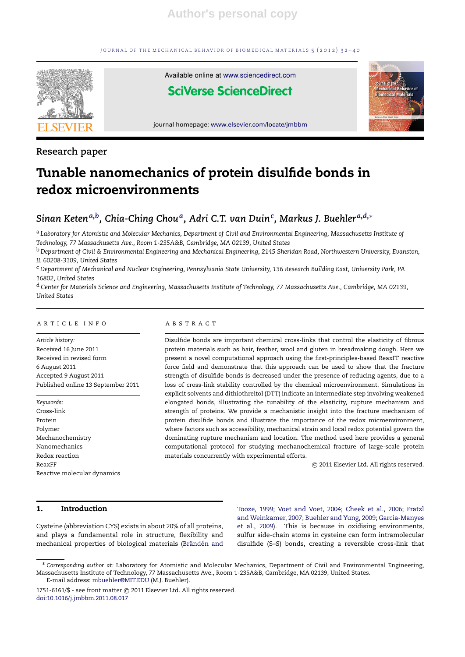JOURNAL OF THE MECHANICAL BEHAVIOR OF BIOMEDICAL MATERIALS 5 (2012) 32-40



Available online at www.sciencedirect.com

## **SciVerse ScienceDirect**

journal homepage: www.elsevier.com/locate/jmbbm



## **Research paper**

# Tunable nanomechanics of protein disulfide bonds in redox microenvironments

# *Sinan Ketena,b , Chia-Ching Chou<sup>a</sup> , Adri C.T. van Duin<sup>c</sup> , Markus J. Buehlera,d,*<sup>∗</sup>

<sup>a</sup> *Laboratory for Atomistic and Molecular Mechanics, Department of Civil and Environmental Engineering, Massachusetts Institute of Technology, 77 Massachusetts Ave., Room 1-235A&B, Cambridge, MA 02139, United States*

<sup>b</sup> *Department of Civil & Environmental Engineering and Mechanical Engineering, 2145 Sheridan Road, Northwestern University, Evanston, IL 60208-3109, United States*

<sup>c</sup> *Department of Mechanical and Nuclear Engineering, Pennsylvania State University, 136 Research Building East, University Park, PA 16802, United States*

<sup>d</sup> *Center for Materials Science and Engineering, Massachusetts Institute of Technology, 77 Massachusetts Ave., Cambridge, MA 02139, United States*

#### A R T I C L E I N F O

*Article history:* Received 16 June 2011 Received in revised form 6 August 2011 Accepted 9 August 2011 Published online 13 September 2011

*Keywords:* Cross-link Protein Polymer Mechanochemistry Nanomechanics Redox reaction ReaxFF Reactive molecular dynamics

#### A B S T R A C T

Disulfide bonds are important chemical cross-links that control the elasticity of fibrous protein materials such as hair, feather, wool and gluten in breadmaking dough. Here we present a novel computational approach using the first-principles-based ReaxFF reactive force field and demonstrate that this approach can be used to show that the fracture strength of disulfide bonds is decreased under the presence of reducing agents, due to a loss of cross-link stability controlled by the chemical microenvironment. Simulations in explicit solvents and dithiothreitol (DTT) indicate an intermediate step involving weakened elongated bonds, illustrating the tunability of the elasticity, rupture mechanism and strength of proteins. We provide a mechanistic insight into the fracture mechanism of protein disulfide bonds and illustrate the importance of the redox microenvironment, where factors such as accessibility, mechanical strain and local redox potential govern the dominating rupture mechanism and location. The method used here provides a general computational protocol for studying mechanochemical fracture of large-scale protein materials concurrently with experimental efforts.

⃝c 2011 Elsevier Ltd. All rights reserved.

### 1. Introduction

Cysteine (abbreviation CYS) exists in about 20% of all proteins, and plays a fundamental role in structure, flexibility and mechanical properties of biological materials (Brändén and

Tooze, 1999; Voet and Voet, 2004; Cheek et al., 2006; Fratzl and Weinkamer, 2007; Buehler and Yung, 2009; Garcia-Manyes et al., 2009). This is because in oxidising environments, sulfur side-chain atoms in cysteine can form intramolecular disulfide (S–S) bonds, creating a reversible cross-link that

<sup>∗</sup> *Corresponding author at:* Laboratory for Atomistic and Molecular Mechanics, Department of Civil and Environmental Engineering, Massachusetts Institute of Technology, 77 Massachusetts Ave., Room 1-235A&B, Cambridge, MA 02139, United States. E-mail address: mbuehler@MIT.EDU (M.J. Buehler).

<sup>1751-6161/\$ -</sup> see front matter © 2011 Elsevier Ltd. All rights reserved. doi:10.1016/j.jmbbm.2011.08.017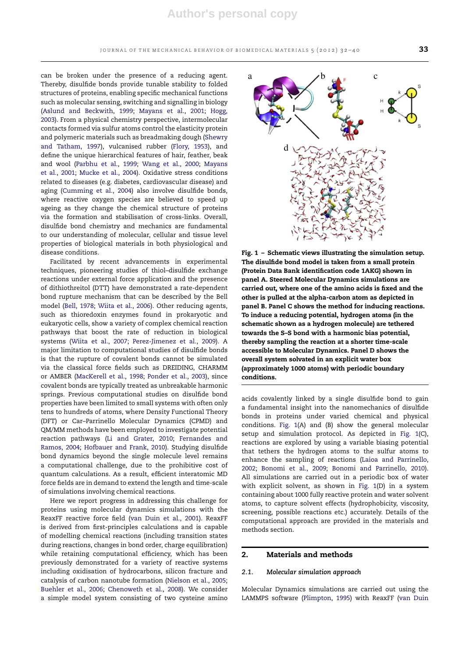can be broken under the presence of a reducing agent. Thereby, disulfide bonds provide tunable stability to folded structures of proteins, enabling specific mechanical functions such as molecular sensing, switching and signalling in biology (Aslund and Beckwith, 1999; Mayans et al., 2001; Hogg, 2003). From a physical chemistry perspective, intermolecular contacts formed via sulfur atoms control the elasticity protein and polymeric materials such as breadmaking dough (Shewry and Tatham, 1997), vulcanised rubber (Flory, 1953), and define the unique hierarchical features of hair, feather, beak and wool (Parbhu et al., 1999; Wang et al., 2000; Mayans et al., 2001; Mucke et al., 2004). Oxidative stress conditions related to diseases (e.g. diabetes, cardiovascular disease) and aging (Cumming et al., 2004) also involve disulfide bonds, where reactive oxygen species are believed to speed up ageing as they change the chemical structure of proteins via the formation and stabilisation of cross-links. Overall, disulfide bond chemistry and mechanics are fundamental to our understanding of molecular, cellular and tissue level properties of biological materials in both physiological and disease conditions.

Facilitated by recent advancements in experimental techniques, pioneering studies of thiol–disulfide exchange reactions under external force application and the presence of dithiothreitol (DTT) have demonstrated a rate-dependent bond rupture mechanism that can be described by the Bell model (Bell, 1978; Wiita et al., 2006). Other reducing agents, such as thioredoxin enzymes found in prokaryotic and eukaryotic cells, show a variety of complex chemical reaction pathways that boost the rate of reduction in biological systems (Wiita et al., 2007; Perez-Jimenez et al., 2009). A major limitation to computational studies of disulfide bonds is that the rupture of covalent bonds cannot be simulated via the classical force fields such as DREIDING, CHARMM or AMBER (MacKerell et al., 1998; Ponder et al., 2003), since covalent bonds are typically treated as unbreakable harmonic springs. Previous computational studies on disulfide bond properties have been limited to small systems with often only tens to hundreds of atoms, where Density Functional Theory (DFT) or Car–Parrinello Molecular Dynamics (CPMD) and QM/MM methods have been employed to investigate potential reaction pathways (Li and Grater, 2010; Fernandes and Ramos, 2004; Hofbauer and Frank, 2010). Studying disulfide bond dynamics beyond the single molecule level remains a computational challenge, due to the prohibitive cost of quantum calculations. As a result, efficient interatomic MD force fields are in demand to extend the length and time-scale of simulations involving chemical reactions.

Here we report progress in addressing this challenge for proteins using molecular dynamics simulations with the ReaxFF reactive force field (van Duin et al., 2001). ReaxFF is derived from first-principles calculations and is capable of modelling chemical reactions (including transition states during reactions, changes in bond order, charge equilibration) while retaining computational efficiency, which has been previously demonstrated for a variety of reactive systems including oxidisation of hydrocarbons, silicon fracture and catalysis of carbon nanotube formation (Nielson et al., 2005; Buehler et al., 2006; Chenoweth et al., 2008). We consider a simple model system consisting of two cysteine amino



Fig. 1 – Schematic views illustrating the simulation setup. The disulfide bond model is taken from a small protein (Protein Data Bank identification code 1AKG) shown in panel A. Steered Molecular Dynamics simulations are carried out, where one of the amino acids is fixed and the other is pulled at the alpha-carbon atom as depicted in panel B. Panel C shows the method for inducing reactions. To induce a reducing potential, hydrogen atoms (in the schematic shown as a hydrogen molecule) are tethered towards the S–S bond with a harmonic bias potential, thereby sampling the reaction at a shorter time-scale accessible to Molecular Dynamics. Panel D shows the overall system solvated in an explicit water box (approximately 1000 atoms) with periodic boundary conditions.

acids covalently linked by a single disulfide bond to gain a fundamental insight into the nanomechanics of disulfide bonds in proteins under varied chemical and physical conditions. Fig. 1(A) and (B) show the general molecular setup and simulation protocol. As depicted in Fig. 1(C), reactions are explored by using a variable biasing potential that tethers the hydrogen atoms to the sulfur atoms to enhance the sampling of reactions (Laioa and Parrinello, 2002; Bonomi et al., 2009; Bonomi and Parrinello, 2010). All simulations are carried out in a periodic box of water with explicit solvent, as shown in Fig. 1(D) in a system containing about 1000 fully reactive protein and water solvent atoms, to capture solvent effects (hydrophobicity, viscosity, screening, possible reactions etc.) accurately. Details of the computational approach are provided in the materials and methods section.

#### 2. Materials and methods

#### *2.1. Molecular simulation approach*

Molecular Dynamics simulations are carried out using the LAMMPS software (Plimpton, 1995) with ReaxFF (van Duin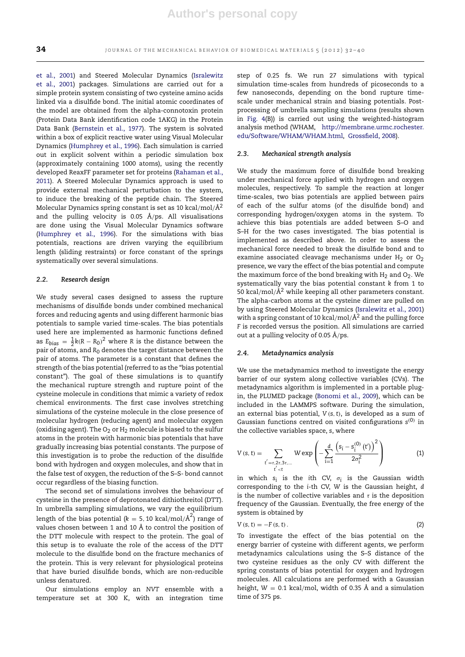et al., 2001) and Steered Molecular Dynamics (Isralewitz et al., 2001) packages. Simulations are carried out for a simple protein system consisting of two cysteine amino acids linked via a disulfide bond. The initial atomic coordinates of the model are obtained from the alpha-connotoxin protein (Protein Data Bank identification code 1AKG) in the Protein Data Bank (Bernstein et al., 1977). The system is solvated within a box of explicit reactive water using Visual Molecular Dynamics (Humphrey et al., 1996). Each simulation is carried out in explicit solvent within a periodic simulation box (approximately containing 1000 atoms), using the recently developed ReaxFF parameter set for proteins (Rahaman et al., 2011). A Steered Molecular Dynamics approach is used to provide external mechanical perturbation to the system, to induce the breaking of the peptide chain. The Steered Molecular Dynamics spring constant is set as 10 kcal/mol/ $\AA^2$ and the pulling velocity is 0.05 Å/ps. All visualisations are done using the Visual Molecular Dynamics software (Humphrey et al., 1996). For the simulations with bias potentials, reactions are driven varying the equilibrium length (sliding restraints) or force constant of the springs systematically over several simulations.

#### *2.2. Research design*

We study several cases designed to assess the rupture mechanisms of disulfide bonds under combined mechanical forces and reducing agents and using different harmonic bias potentials to sample varied time-scales. The bias potentials used here are implemented as harmonic functions defined as  $E_{bias} = \frac{1}{2}k(R - R_0)^2$  where *R* is the distance between the pair of atoms, and  $R_0$  denotes the target distance between the pair of atoms. The parameter is a constant that defines the strength of the bias potential (referred to as the "bias potential constant"). The goal of these simulations is to quantify the mechanical rupture strength and rupture point of the cysteine molecule in conditions that mimic a variety of redox chemical environments. The first case involves stretching simulations of the cysteine molecule in the close presence of molecular hydrogen (reducing agent) and molecular oxygen (oxidising agent). The  $O_2$  or  $H_2$  molecule is biased to the sulfur atoms in the protein with harmonic bias potentials that have gradually increasing bias potential constants. The purpose of this investigation is to probe the reduction of the disulfide bond with hydrogen and oxygen molecules, and show that in the false test of oxygen, the reduction of the S–S- bond cannot occur regardless of the biasing function.

The second set of simulations involves the behaviour of cysteine in the presence of deprotonated dithiothreitol (DTT). In umbrella sampling simulations, we vary the equilibrium length of the bias potential (k  $=$  5, 10 kcal/mol/Å $^2)$  range of values chosen between 1 and 10 Å to control the position of the DTT molecule with respect to the protein. The goal of this setup is to evaluate the role of the access of the DTT molecule to the disulfide bond on the fracture mechanics of the protein. This is very relevant for physiological proteins that have buried disulfide bonds, which are non-reducible unless denatured.

Our simulations employ an *NVT* ensemble with a temperature set at 300 K, with an integration time step of 0.25 fs. We run 27 simulations with typical simulation time-scales from hundreds of picoseconds to a few nanoseconds, depending on the bond rupture timescale under mechanical strain and biasing potentials. Postprocessing of umbrella sampling simulations (results shown in Fig. 4(B)) is carried out using the weighted-histogram analysis method (WHAM, http://membrane.urmc.rochester. edu/Software/WHAM/WHAM.html, Grossfield, 2008).

#### *2.3. Mechanical strength analysis*

We study the maximum force of disulfide bond breaking under mechanical force applied with hydrogen and oxygen molecules, respectively. To sample the reaction at longer time-scales, two bias potentials are applied between pairs of each of the sulfur atoms (of the disulfide bond) and corresponding hydrogen/oxygen atoms in the system. To achieve this bias potentials are added between S–O and S–H for the two cases investigated. The bias potential is implemented as described above. In order to assess the mechanical force needed to break the disulfide bond and to examine associated cleavage mechanisms under  $H_2$  or  $O_2$ presence, we vary the effect of the bias potential and compute the maximum force of the bond breaking with  $\rm H_2$  and  $\rm O_2$ . We systematically vary the bias potential constant *k* from 1 to 50 kcal/mol/ $\AA^2$  while keeping all other parameters constant. The alpha-carbon atoms at the cysteine dimer are pulled on by using Steered Molecular Dynamics (Isralewitz et al., 2001) with a spring constant of 10 kcal/mol/ $\AA^2$  and the pulling force *F* is recorded versus the position. All simulations are carried out at a pulling velocity of 0.05 Å/ps.

#### *2.4. Metadynamics analysis*

We use the metadynamics method to investigate the energy barrier of our system along collective variables (CVs). The metadynamics algorithm is implemented in a portable plugin, the PLUMED package (Bonomi et al., 2009), which can be included in the LAMMPS software. During the simulation, an external bias potential, *V* (*s*,*t*), is developed as a sum of Gaussian functions centred on visited configurations *s* (0) in the collective variables space, *s*, where

$$
V(s,t) = \sum_{\substack{t' = \tau, 2\tau, 3\tau, \dots \\ t' < t}} W \exp\left(-\sum_{i=1}^d \frac{\left(s_i - s_i^{(0)}(t')\right)^2}{2\sigma_i^2}\right) \tag{1}
$$

 $\infty$  in which  $s_i$  is the ith CV,  $\sigma_i$  is the Gaussian width corresponding to the *i*-th CV, *W* is the Gaussian height, *d* is the number of collective variables and  $\tau$  is the deposition frequency of the Gaussian. Eventually, the free energy of the system is obtained by

$$
V(s, t) = -F(s, t).
$$
 (2)

To investigate the effect of the bias potential on the energy barrier of cysteine with different agents, we perform metadynamics calculations using the S–S distance of the two cysteine residues as the only CV with different the spring constants of bias potential for oxygen and hydrogen molecules. All calculations are performed with a Gaussian height,  $W = 0.1$  kcal/mol, width of 0.35 Å and a simulation time of 375 ps.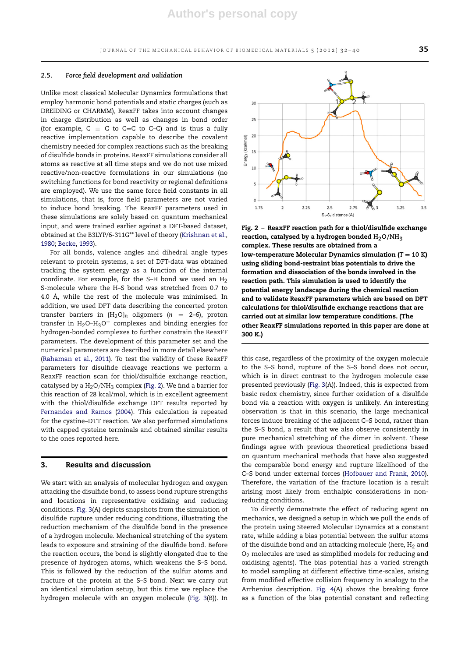#### *2.5. Force field development and validation*

Unlike most classical Molecular Dynamics formulations that employ harmonic bond potentials and static charges (such as DREIDING or CHARMM), ReaxFF takes into account changes in charge distribution as well as changes in bond order (for example,  $C = C$  to C=C to C–C) and is thus a fully reactive implementation capable to describe the covalent chemistry needed for complex reactions such as the breaking of disulfide bonds in proteins. ReaxFF simulations consider all atoms as reactive at all time steps and we do not use mixed reactive/non-reactive formulations in our simulations (no switching functions for bond reactivity or regional definitions are employed). We use the same force field constants in all simulations, that is, force field parameters are not varied to induce bond breaking. The ReaxFF parameters used in these simulations are solely based on quantum mechanical input, and were trained earlier against a DFT-based dataset, obtained at the B3LYP/6-311G\*\* level of theory (Krishnan et al., 1980; Becke, 1993).

For all bonds, valence angles and dihedral angle types relevant to protein systems, a set of DFT-data was obtained tracking the system energy as a function of the internal coordinate. For example, for the S-H bond we used an  $H_2$ S-molecule where the H–S bond was stretched from 0.7 to 4.0 Å, while the rest of the molecule was minimised. In addition, we used DFT data describing the concerted proton transfer barriers in  $[H_2O]_n$  oligomers ( $n = 2-6$ ), proton transfer in  $H_2O-H_3O^+$  complexes and binding energies for hydrogen-bonded complexes to further constrain the ReaxFF parameters. The development of this parameter set and the numerical parameters are described in more detail elsewhere (Rahaman et al., 2011). To test the validity of these ReaxFF parameters for disulfide cleavage reactions we perform a ReaxFF reaction scan for thiol/disulfide exchange reaction, catalysed by a  $H_2O/NH_3$  complex (Fig. 2). We find a barrier for this reaction of 28 kcal/mol, which is in excellent agreement with the thiol/disulfide exchange DFT results reported by Fernandes and Ramos (2004). This calculation is repeated for the cystine–DTT reaction. We also performed simulations with capped cysteine terminals and obtained similar results to the ones reported here.

#### 3. Results and discussion

We start with an analysis of molecular hydrogen and oxygen attacking the disulfide bond, to assess bond rupture strengths and locations in representative oxidising and reducing conditions. Fig. 3(A) depicts snapshots from the simulation of disulfide rupture under reducing conditions, illustrating the reduction mechanism of the disulfide bond in the presence of a hydrogen molecule. Mechanical stretching of the system leads to exposure and straining of the disulfide bond. Before the reaction occurs, the bond is slightly elongated due to the presence of hydrogen atoms, which weakens the S–S bond. This is followed by the reduction of the sulfur atoms and fracture of the protein at the S–S bond. Next we carry out an identical simulation setup, but this time we replace the hydrogen molecule with an oxygen molecule (Fig. 3(B)). In



Fig. 2 – ReaxFF reaction path for a thiol/disulfide exchange reaction, catalysed by a hydrogen bonded **H2O**/**NH<sup>3</sup>** complex. These results are obtained from a low-temperature Molecular Dynamics simulation  $(T = 10 K)$ using sliding bond-restraint bias potentials to drive the formation and dissociation of the bonds involved in the reaction path. This simulation is used to identify the potential energy landscape during the chemical reaction and to validate ReaxFF parameters which are based on DFT calculations for thiol/disulfide exchange reactions that are carried out at similar low temperature conditions. (The other ReaxFF simulations reported in this paper are done at 300 K.)

this case, regardless of the proximity of the oxygen molecule to the S–S bond, rupture of the S–S bond does not occur, which is in direct contrast to the hydrogen molecule case presented previously (Fig. 3(A)). Indeed, this is expected from basic redox chemistry, since further oxidation of a disulfide bond via a reaction with oxygen is unlikely. An interesting observation is that in this scenario, the large mechanical forces induce breaking of the adjacent C–S bond, rather than the S–S bond, a result that we also observe consistently in pure mechanical stretching of the dimer in solvent. These findings agree with previous theoretical predictions based on quantum mechanical methods that have also suggested the comparable bond energy and rupture likelihood of the C–S bond under external forces (Hofbauer and Frank, 2010). Therefore, the variation of the fracture location is a result arising most likely from enthalpic considerations in nonreducing conditions.

To directly demonstrate the effect of reducing agent on mechanics, we designed a setup in which we pull the ends of the protein using Steered Molecular Dynamics at a constant rate, while adding a bias potential between the sulfur atoms of the disulfide bond and an attacking molecule (here,  $H_2$  and  $O<sub>2</sub>$  molecules are used as simplified models for reducing and oxidising agents). The bias potential has a varied strength to model sampling at different effective time-scales, arising from modified effective collision frequency in analogy to the Arrhenius description. Fig. 4(A) shows the breaking force as a function of the bias potential constant and reflecting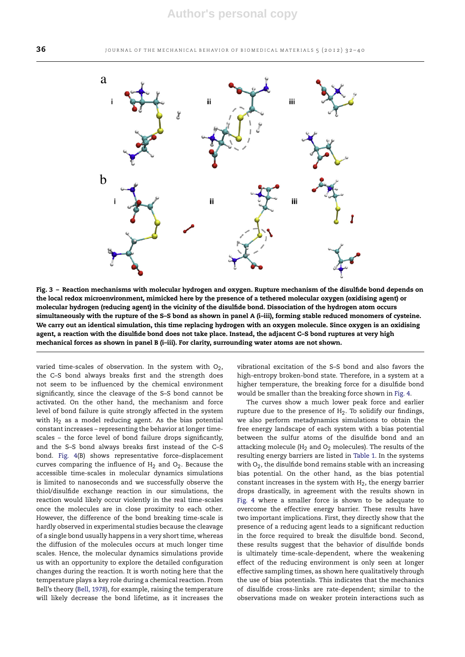

Fig. 3 – Reaction mechanisms with molecular hydrogen and oxygen. Rupture mechanism of the disulfide bond depends on the local redox microenvironment, mimicked here by the presence of a tethered molecular oxygen (oxidising agent) or molecular hydrogen (reducing agent) in the vicinity of the disulfide bond. Dissociation of the hydrogen atom occurs simultaneously with the rupture of the S–S bond as shown in panel A (i–iii), forming stable reduced monomers of cysteine. We carry out an identical simulation, this time replacing hydrogen with an oxygen molecule. Since oxygen is an oxidising agent, a reaction with the disulfide bond does not take place. Instead, the adjacent C–S bond ruptures at very high mechanical forces as shown in panel B (i–iii). For clarity, surrounding water atoms are not shown.

varied time-scales of observation. In the system with  $O_2$ , the C–S bond always breaks first and the strength does not seem to be influenced by the chemical environment significantly, since the cleavage of the S–S bond cannot be activated. On the other hand, the mechanism and force level of bond failure is quite strongly affected in the system with  $H_2$  as a model reducing agent. As the bias potential constant increases – representing the behavior at longer timescales – the force level of bond failure drops significantly, and the S–S bond always breaks first instead of the C–S bond. Fig. 4(B) shows representative force–displacement curves comparing the influence of  $\rm H_2$  and  $\rm O_2$ . Because the accessible time-scales in molecular dynamics simulations is limited to nanoseconds and we successfully observe the thiol/disulfide exchange reaction in our simulations, the reaction would likely occur violently in the real time-scales once the molecules are in close proximity to each other. However, the difference of the bond breaking time-scale is hardly observed in experimental studies because the cleavage of a single bond usually happens in a very short time, whereas the diffusion of the molecules occurs at much longer time scales. Hence, the molecular dynamics simulations provide us with an opportunity to explore the detailed configuration changes during the reaction. It is worth noting here that the temperature plays a key role during a chemical reaction. From Bell's theory (Bell, 1978), for example, raising the temperature will likely decrease the bond lifetime, as it increases the

vibrational excitation of the S–S bond and also favors the high-entropy broken-bond state. Therefore, in a system at a higher temperature, the breaking force for a disulfide bond would be smaller than the breaking force shown in Fig. 4.

The curves show a much lower peak force and earlier rupture due to the presence of  $H_2$ . To solidify our findings, we also perform metadynamics simulations to obtain the free energy landscape of each system with a bias potential between the sulfur atoms of the disulfide bond and an attacking molecule ( $H_2$  and  $O_2$  molecules). The results of the resulting energy barriers are listed in Table 1. In the systems with  $\mathrm{O}_2$ , the disulfide bond remains stable with an increasing bias potential. On the other hand, as the bias potential constant increases in the system with  $\rm H_2$ , the energy barrier drops drastically, in agreement with the results shown in Fig. 4 where a smaller force is shown to be adequate to overcome the effective energy barrier. These results have two important implications. First, they directly show that the presence of a reducing agent leads to a significant reduction in the force required to break the disulfide bond. Second, these results suggest that the behavior of disulfide bonds is ultimately time-scale-dependent, where the weakening effect of the reducing environment is only seen at longer effective sampling times, as shown here qualitatively through the use of bias potentials. This indicates that the mechanics of disulfide cross-links are rate-dependent; similar to the observations made on weaker protein interactions such as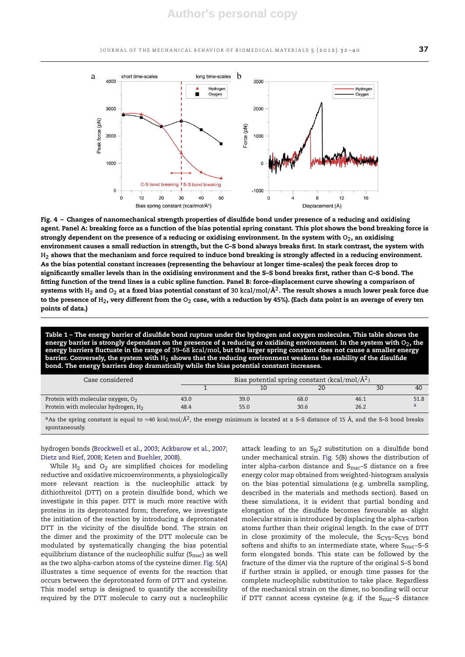

Fig. 4 – Changes of nanomechanical strength properties of disulfide bond under presence of a reducing and oxidising agent. Panel A: breaking force as a function of the bias potential spring constant. This plot shows the bond breaking force is strongly dependent on the presence of a reducing or oxidising environment. In the system with **O2**, an oxidising environment causes a small reduction in strength, but the C–S bond always breaks first. In stark contrast, the system with **H2** shows that the mechanism and force required to induce bond breaking is strongly affected in a reducing environment. As the bias potential constant increases (representing the behaviour at longer time-scales) the peak forces drop to significantly smaller levels than in the oxidising environment and the S–S bond breaks first, rather than C–S bond. The fitting function of the trend lines is a cubic spline function. Panel B: force–displacement curve showing a comparison of systems with **<sup>H</sup><sup>2</sup>** and **<sup>O</sup><sup>2</sup>** at a fixed bias potential constant of **30 kcal**/**mol**/Å**2**. The result shows a much lower peak force due to the presence of **H2**, very different from the **O2** case, with a reduction by 45%). (Each data point is an average of every ten points of data.)

Table 1 – The energy barrier of disulfide bond rupture under the hydrogen and oxygen molecules. This table shows the energy barrier is strongly dependant on the presence of a reducing or oxidising environment. In the system with **O2**, the energy barriers fluctuate in the range of **39**–**68 kcal**/**mol**, but the larger spring constant does not cause a smaller energy barrier. Conversely, the system with **H2** shows that the reducing environment weakens the stability of the disulfide bond. The energy barriers drop dramatically while the bias potential constant increases.

| Case considered                                 | Bias potential spring constant (kcal/mol/ $\AA^2$ ) |      |      |      |      |
|-------------------------------------------------|-----------------------------------------------------|------|------|------|------|
|                                                 |                                                     |      |      | 30   | 40   |
| Protein with molecular oxygen, $O2$             | 43.0                                                | 39.0 | 68.0 | 46.1 | 51.8 |
| Protein with molecular hydrogen, H <sub>2</sub> | 48.4                                                |      | 30.6 | 26.2 |      |

<sup>a</sup>As the spring constant is equal to ≈40 kcal/mol/Å<sup>2</sup>, the energy minimum is located at a S–S distance of 15 Å, and the S–S bond breaks spontaneously.

hydrogen bonds (Brockwell et al., 2003; Ackbarow et al., 2007; Dietz and Rief, 2008; Keten and Buehler, 2008).

While  $H_2$  and  $O_2$  are simplified choices for modeling reductive and oxidative microenvironments, a physiologically more relevant reaction is the nucleophilic attack by dithiothreitol (DTT) on a protein disulfide bond, which we investigate in this paper. DTT is much more reactive with proteins in its deprotonated form; therefore, we investigate the initiation of the reaction by introducing a deprotonated DTT in the vicinity of the disulfide bond. The strain on the dimer and the proximity of the DTT molecule can be modulated by systematically changing the bias potential equilibrium distance of the nucleophilic sulfur  $(S<sub>nuc</sub>)$  as well as the two alpha-carbon atoms of the cysteine dimer. Fig. 5(A) illustrates a time sequence of events for the reaction that occurs between the deprotonated form of DTT and cysteine. This model setup is designed to quantify the accessibility required by the DTT molecule to carry out a nucleophilic attack leading to an S*N*2 substitution on a disulfide bond under mechanical strain. Fig. 5(B) shows the distribution of inter alpha-carbon distance and  $S<sub>nuc</sub>$ –S distance on a free energy color map obtained from weighted-histogram analysis on the bias potential simulations (e.g. umbrella sampling, described in the materials and methods section). Based on these simulations, it is evident that partial bonding and elongation of the disulfide becomes favourable as slight molecular strain is introduced by displacing the alpha-carbon atoms further than their original length. In the case of DTT in close proximity of the molecule, the  $S<sub>CYS</sub>-S<sub>CYS</sub>$  bond softens and shifts to an intermediate state, where  $S<sub>nuc</sub>$ -S-S form elongated bonds. This state can be followed by the fracture of the dimer via the rupture of the original S–S bond if further strain is applied, or enough time passes for the complete nucleophilic substitution to take place. Regardless of the mechanical strain on the dimer, no bonding will occur if DTT cannot access cysteine (e.g. if the  $S<sub>nuc</sub>$ -S distance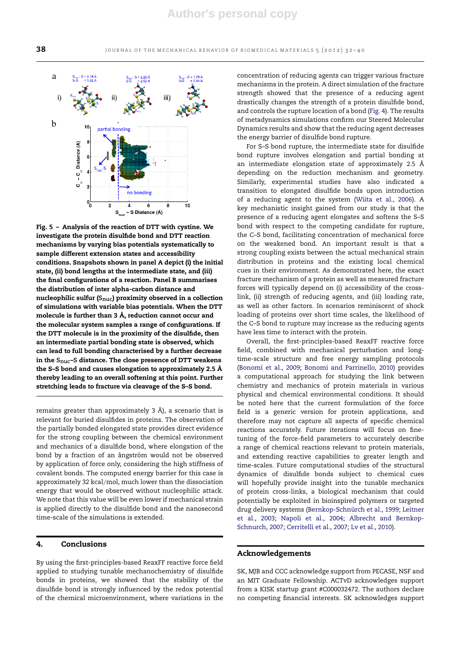

Fig. 5 – Analysis of the reaction of DTT with cystine. We investigate the protein disulfide bond and DTT reaction mechanisms by varying bias potentials systematically to sample different extension states and accessibility conditions. Snapshots shown in panel A depict (i) the initial state, (ii) bond lengths at the intermediate state, and (iii) the final configurations of a reaction. Panel B summarises the distribution of inter alpha-carbon distance and nucleophilic sulfur (**Snuc**) proximity observed in a collection of simulations with variable bias potentials. When the DTT molecule is further than 3 Å, reduction cannot occur and the molecular system samples a range of configurations. If the DTT molecule is in the proximity of the disulfide, then an intermediate partial bonding state is observed, which can lead to full bonding characterised by a further decrease in the **Snuc**–**S** distance. The close presence of DTT weakens the S–S bond and causes elongation to approximately 2.5 Å thereby leading to an overall softening at this point. Further stretching leads to fracture via cleavage of the S–S bond.

remains greater than approximately 3 Å), a scenario that is relevant for buried disulfides in proteins. The observation of the partially bonded elongated state provides direct evidence for the strong coupling between the chemical environment and mechanics of a disulfide bond, where elongation of the bond by a fraction of an ångström would not be observed by application of force only, considering the high stiffness of covalent bonds. The computed energy barrier for this case is approximately 32 kcal/mol, much lower than the dissociation energy that would be observed without nucleophilic attack. We note that this value will be even lower if mechanical strain is applied directly to the disulfide bond and the nanosecond time-scale of the simulations is extended.

#### 4. Conclusions

By using the first-principles-based ReaxFF reactive force field applied to studying tunable mechanochemistry of disulfide bonds in proteins, we showed that the stability of the disulfide bond is strongly influenced by the redox potential of the chemical microenvironment, where variations in the

concentration of reducing agents can trigger various fracture mechanisms in the protein. A direct simulation of the fracture strength showed that the presence of a reducing agent drastically changes the strength of a protein disulfide bond, and controls the rupture location of a bond (Fig. 4). The results of metadynamics simulations confirm our Steered Molecular Dynamics results and show that the reducing agent decreases the energy barrier of disulfide bond rupture.

For S–S bond rupture, the intermediate state for disulfide bond rupture involves elongation and partial bonding at an intermediate elongation state of approximately 2.5 Å depending on the reduction mechanism and geometry. Similarly, experimental studies have also indicated a transition to elongated disulfide bonds upon introduction of a reducing agent to the system (Wiita et al., 2006). A key mechanistic insight gained from our study is that the presence of a reducing agent elongates and softens the S–S bond with respect to the competing candidate for rupture, the C–S bond, facilitating concentration of mechanical force on the weakened bond. An important result is that a strong coupling exists between the actual mechanical strain distribution in proteins and the existing local chemical cues in their environment. As demonstrated here, the exact fracture mechanism of a protein as well as measured fracture forces will typically depend on (i) accessibility of the crosslink, (ii) strength of reducing agents, and (iii) loading rate, as well as other factors. In scenarios reminiscent of shock loading of proteins over short time scales, the likelihood of the C–S bond to rupture may increase as the reducing agents have less time to interact with the protein.

Overall, the first-principles-based ReaxFF reactive force field, combined with mechanical perturbation and longtime-scale structure and free energy sampling protocols (Bonomi et al., 2009; Bonomi and Parrinello, 2010) provides a computational approach for studying the link between chemistry and mechanics of protein materials in various physical and chemical environmental conditions. It should be noted here that the current formulation of the force field is a generic version for protein applications, and therefore may not capture all aspects of specific chemical reactions accurately. Future iterations will focus on finetuning of the force-field parameters to accurately describe a range of chemical reactions relevant to protein materials, and extending reactive capabilities to greater length and time-scales. Future computational studies of the structural dynamics of disulfide bonds subject to chemical cues will hopefully provide insight into the tunable mechanics of protein cross-links, a biological mechanism that could potentially be exploited in bioinspired polymers or targeted drug delivery systems (Bernkop-Schnürch et al., 1999; Leitner et al., 2003; Napoli et al., 2004; Albrecht and Bernkop-Schnurch, 2007; Cerritelli et al., 2007; Lv et al., 2010).

#### Acknowledgements

SK, MJB and CCC acknowledge support from PECASE, NSF and an MIT Graduate Fellowship. ACTvD acknowledges support from a KISK startup grant #C000032472. The authors declare no competing financial interests. SK acknowledges support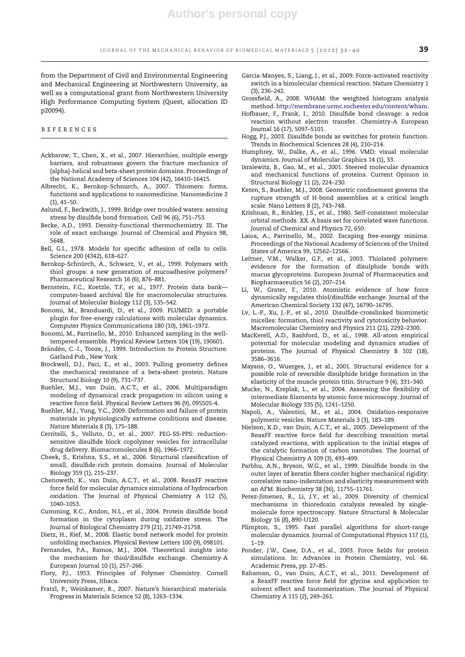from the Department of Civil and Environmental Engineering and Mechanical Engineering at Northwestern University, as well as a computational grant from Northwestern University High Performance Computing System (Quest, allocation ID p20094).

#### R E F E R E N C E S

- Ackbarow, T., Chen, X., et al., 2007. Hierarchies, multiple energy barriers, and robustness govern the fracture mechanics of {alpha}-helical and beta-sheet protein domains. Proceedings of the National Academy of Sciences 104 (42), 16410–16415.
- Albrecht, K., Bernkop-Schnurch, A., 2007. Thiomers: forms, functions and applications to nanomedicine. Nanomedicine 2 (1), 41–50.
- Aslund, F., Beckwith, J., 1999. Bridge over troubled waters: sensing stress by disulfide bond formation. Cell 96 (6), 751–753.
- Becke, A.D., 1993. Density-functional thermochemistry. III. The role of exact exchange. Journal of Chemical and Physics 98, 5648.
- Bell, G.I., 1978. Models for specific adhesion of cells to cells. Science 200 (4342), 618–627.
- Bernkop-Schnürch, A., Schwarz, V., et al., 1999. Polymers with thiol groups: a new generation of mucoadhesive polymers? Pharmaceutical Research 16 (6), 876–881.
- Bernstein, F.C., Koetzle, T.F., et al., 1977. Protein data bank computer-based archival file for macromolecular structures. Journal of Molecular Biology 112 (3), 535–542.
- Bonomi, M., Branduardi, D., et al., 2009. PLUMED: a portable plugin for free-energy calculations with molecular dynamics. Computer Physics Communications 180 (10), 1961–1972.
- Bonomi, M., Parrinello, M., 2010. Enhanced sampling in the welltempered ensemble. Physical Review Letters 104 (19), 190601.
- Brändén, C.-I., Tooze, J., 1999. Introduction to Protein Structure. Garland Pub., New York
- Brockwell, D.J., Paci, E., et al., 2003. Pulling geometry defines the mechanical resistance of a beta-sheet protein. Nature Structural Biology 10 (9), 731–737.
- Buehler, M.J., van Duin, A.C.T., et al., 2006. Multiparadigm modeling of dynamical crack propagation in silicon using a reactive force field. Physical Review Letters 96 (9), 095505-4.
- Buehler, M.J., Yung, Y.C., 2009. Deformation and failure of protein materials in physiologically extreme conditions and disease. Nature Materials 8 (3), 175–188.
- Cerritelli, S., Velluto, D., et al., 2007. PEG-SS-PPS: reductionsensitive disulfide block copolymer vesicles for intracellular drug delivery. Biomacromolecules 8 (6), 1966–1972.
- Cheek, S., Krishna, S.S., et al., 2006. Structural classification of small, disulfide-rich protein domains. Journal of Molecular Biology 359 (1), 215–237.
- Chenoweth, K., van Duin, A.C.T., et al., 2008. ReaxFF reactive force field for molecular dynamics simulations of hydrocarbon oxidation. The Journal of Physical Chemistry A 112 (5), 1040–1053.
- Cumming, R.C., Andon, N.L., et al., 2004. Protein disulfide bond formation in the cytoplasm during oxidative stress. The Journal of Biological Chemistry 279 (21), 21749–21758.
- Dietz, H., Rief, M., 2008. Elastic bond network model for protein unfolding mechanics. Physical Review Letters 100 (9), 098101.
- Fernandes, P.A., Ramos, M.J., 2004. Theoretical insights into the mechanism for thiol/disulfide exchange. Chemistry-A European Journal 10 (1), 257–266.
- Flory, P.J., 1953. Principles of Polymer Chemistry. Cornell University Press, Ithaca.
- Fratzl, P., Weinkamer, R., 2007. Nature's hierarchical materials. Progress in Materials Science 52 (8), 1263–1334.
- Garcia-Manyes, S., Liang, J., et al., 2009. Force-activated reactivity switch in a bimolecular chemical reaction. Nature Chemistry 1 (3), 236–242.
- Grossfield, A., 2008. WHAM: the weighted histogram analysis method. http://membrane.urmc.rochester.edu/content/wham.
- Hofbauer, F., Frank, I., 2010. Disulfide bond cleavage: a redox reaction without electron transfer. Chemistry-A European Journal 16 (17), 5097–5101.
- Hogg, P.J., 2003. Disulfide bonds as switches for protein function. Trends in Biochemical Sciences 28 (4), 210–214.
- Humphrey, W., Dalke, A., et al., 1996. VMD: visual molecular dynamics. Journal of Molecular Graphics 14 (1), 33.
- Isralewitz, B., Gao, M., et al., 2001. Steered molecular dynamics and mechanical functions of proteins. Current Opinion in Structural Biology 11 (2), 224–230.
- Keten, S., Buehler, M.J., 2008. Geometric confinement governs the rupture strength of H-bond assemblies at a critical length scale. Nano Letters 8 (2), 743–748.
- Krishnan, R., Binkley, J.S., et al., 1980. Self-consistent molecular orbital methods. XX. A basis set for correlated wave functions. Journal of Chemical and Physics 72, 650.
- Laioa, A., Parrinello, M., 2002. Escaping free-energy minima. Proceedings of the National Academy of Sciences of the United States of America 99, 12562–12566.
- Leitner, V.M., Walker, G.F., et al., 2003. Thiolated polymers: evidence for the formation of disulphide bonds with mucus glycoproteins. European Journal of Pharmaceutics and Biopharmaceutics 56 (2), 207–214.
- Li, W., Grater, F., 2010. Atomistic evidence of how force dynamically regulates thiol/disulfide exchange. Journal of the American Chemical Society 132 (47), 16790–16795.
- Lv, L.-P., Xu, J.-P., et al., 2010. Disulfide-crosslinked biomimetic micelles: formation, thiol reactivity and cytotoxicity behavior. Macromolecular Chemistry and Physics 211 (21), 2292–2300.
- MacKerell, A.D., Bashford, D., et al., 1998. All-atom empirical potential for molecular modeling and dynamics studies of proteins. The Journal of Physical Chemistry B 102 (18), 3586–3616.
- Mayans, O., Wuerges, J., et al., 2001. Structural evidence for a possible role of reversible disulphide bridge formation in the elasticity of the muscle protein titin. Structure 9 (4), 331–340.
- Mucke, N., Kreplak, L., et al., 2004. Assessing the flexibility of intermediate filaments by atomic force microscopy. Journal of Molecular Biology 335 (5), 1241–1250.
- Napoli, A., Valentini, M., et al., 2004. Oxidation-responsive polymeric vesicles. Nature Materials 3 (3), 183–189.
- Nielson, K.D., van Duin, A.C.T., et al., 2005. Development of the ReaxFF reactive force field for describing transition metal catalyzed reactions, with application to the initial stages of the catalytic formation of carbon nanotubes. The Journal of Physical Chemistry A 109 (3), 493–499.
- Parbhu, A.N., Bryson, W.G., et al., 1999. Disulfide bonds in the outer layer of keratin fibers confer higher mechanical rigidity: correlative nano-indentation and elasticity measurement with an AFM. Biochemistry 38 (36), 11755–11761.
- Perez-Jimenez, R., Li, J.Y., et al., 2009. Diversity of chemical mechanisms in thioredoxin catalysis revealed by singlemolecule force spectroscopy. Nature Structural & Molecular Biology 16 (8), 890-U120.
- Plimpton, S., 1995. Fast parallel algorithms for short-range molecular dynamics. Journal of Computational Physics 117 (1), 1–19.
- Ponder, J.W., Case, D.A., et al., 2003. Force fields for protein simulations. In: Advances in Protein Chemistry, vol. 66. Academic Press, pp. 27–85.
- Rahaman, O., van Duin, A.C.T., et al., 2011. Development of a ReaxFF reactive force field for glycine and application to solvent effect and tautomerization. The Journal of Physical Chemistry A 115 (2), 249–261.